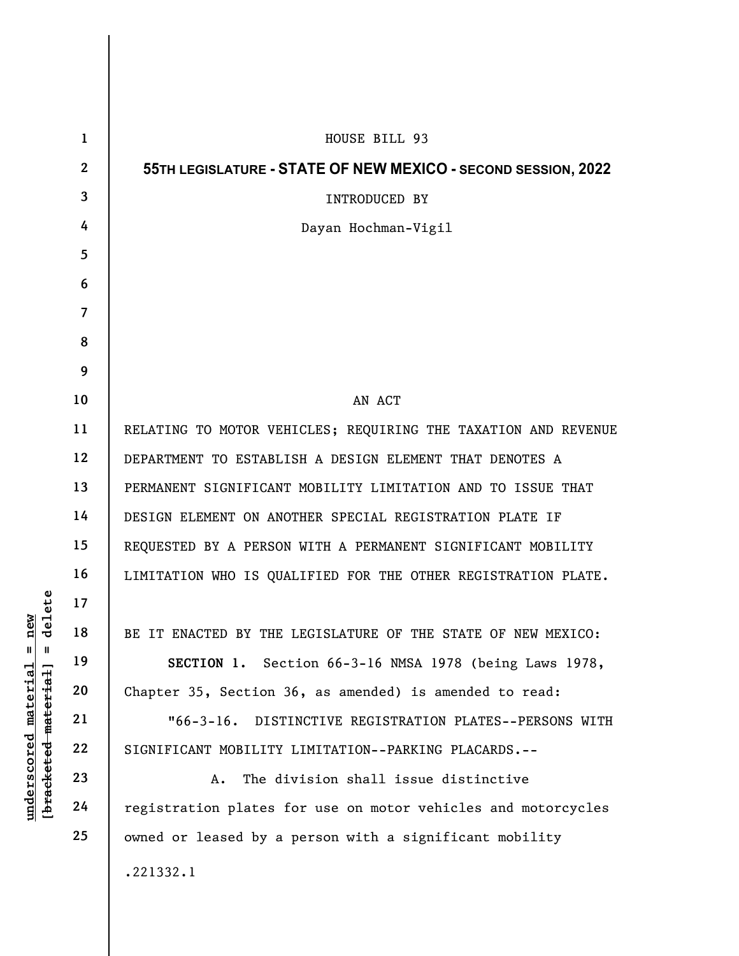| lelete<br>new<br>ರ<br>$\mathsf{I}$<br>$\mathbf{I}$<br>[bracketed-material]<br>$underscored$ $match1a1$ | $\mathbf{1}$   | HOUSE BILL 93                                                  |
|--------------------------------------------------------------------------------------------------------|----------------|----------------------------------------------------------------|
|                                                                                                        | $\mathbf{2}$   | 55TH LEGISLATURE - STATE OF NEW MEXICO - SECOND SESSION, 2022  |
|                                                                                                        | 3              | INTRODUCED BY                                                  |
|                                                                                                        | 4              | Dayan Hochman-Vigil                                            |
|                                                                                                        | 5              |                                                                |
|                                                                                                        | 6              |                                                                |
|                                                                                                        | $\overline{7}$ |                                                                |
|                                                                                                        | 8              |                                                                |
|                                                                                                        | 9              |                                                                |
|                                                                                                        | 10             | AN ACT                                                         |
|                                                                                                        | 11             | RELATING TO MOTOR VEHICLES; REQUIRING THE TAXATION AND REVENUE |
|                                                                                                        | 12             | DEPARTMENT TO ESTABLISH A DESIGN ELEMENT THAT DENOTES A        |
|                                                                                                        | 13             | PERMANENT SIGNIFICANT MOBILITY LIMITATION AND TO ISSUE THAT    |
|                                                                                                        | 14             | DESIGN ELEMENT ON ANOTHER SPECIAL REGISTRATION PLATE IF        |
|                                                                                                        | 15             | REQUESTED BY A PERSON WITH A PERMANENT SIGNIFICANT MOBILITY    |
|                                                                                                        | 16             | LIMITATION WHO IS QUALIFIED FOR THE OTHER REGISTRATION PLATE.  |
|                                                                                                        | 17             |                                                                |
|                                                                                                        | 18             | BE IT ENACTED BY THE LEGISLATURE OF THE STATE OF NEW MEXICO:   |
|                                                                                                        | 19             | SECTION 1. Section 66-3-16 NMSA 1978 (being Laws 1978,         |
|                                                                                                        | 20             | Chapter 35, Section 36, as amended) is amended to read:        |
|                                                                                                        | 21             | DISTINCTIVE REGISTRATION PLATES--PERSONS WITH<br>$"66-3-16.$   |
|                                                                                                        | 22             | SIGNIFICANT MOBILITY LIMITATION--PARKING PLACARDS.--           |
|                                                                                                        | 23             | The division shall issue distinctive<br>Α.                     |
|                                                                                                        | 24             | registration plates for use on motor vehicles and motorcycles  |
|                                                                                                        | 25             | owned or leased by a person with a significant mobility        |
|                                                                                                        |                | .221332.1                                                      |
|                                                                                                        |                |                                                                |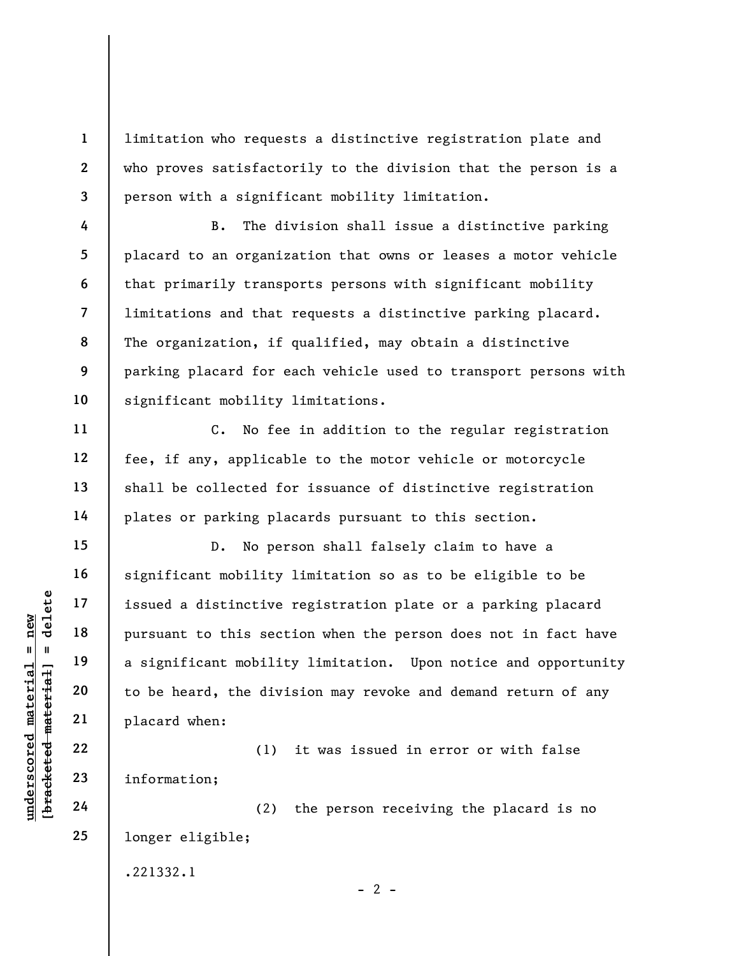limitation who requests a distinctive registration plate and who proves satisfactorily to the division that the person is a person with a significant mobility limitation.

B. The division shall issue a distinctive parking placard to an organization that owns or leases a motor vehicle that primarily transports persons with significant mobility limitations and that requests a distinctive parking placard. The organization, if qualified, may obtain a distinctive parking placard for each vehicle used to transport persons with significant mobility limitations.

C. No fee in addition to the regular registration fee, if any, applicable to the motor vehicle or motorcycle shall be collected for issuance of distinctive registration plates or parking placards pursuant to this section.

understand material material end and the dividence of the sect of a significant mobility of the sect of a significant mobility to be heard, the dividence of the dividence of  $21$  placard when:<br>
we will placard when:<br>  $22$  D. No person shall falsely claim to have a significant mobility limitation so as to be eligible to be issued a distinctive registration plate or a parking placard pursuant to this section when the person does not in fact have a significant mobility limitation. Upon notice and opportunity to be heard, the division may revoke and demand return of any placard when:

(1) it was issued in error or with false information;

(2) the person receiving the placard is no longer eligible;

 $- 2 -$ 

1

2

3

4

5

6

7

8

9

10

11

12

13

14

15

16

17

18

19

20

21

22

23

24

25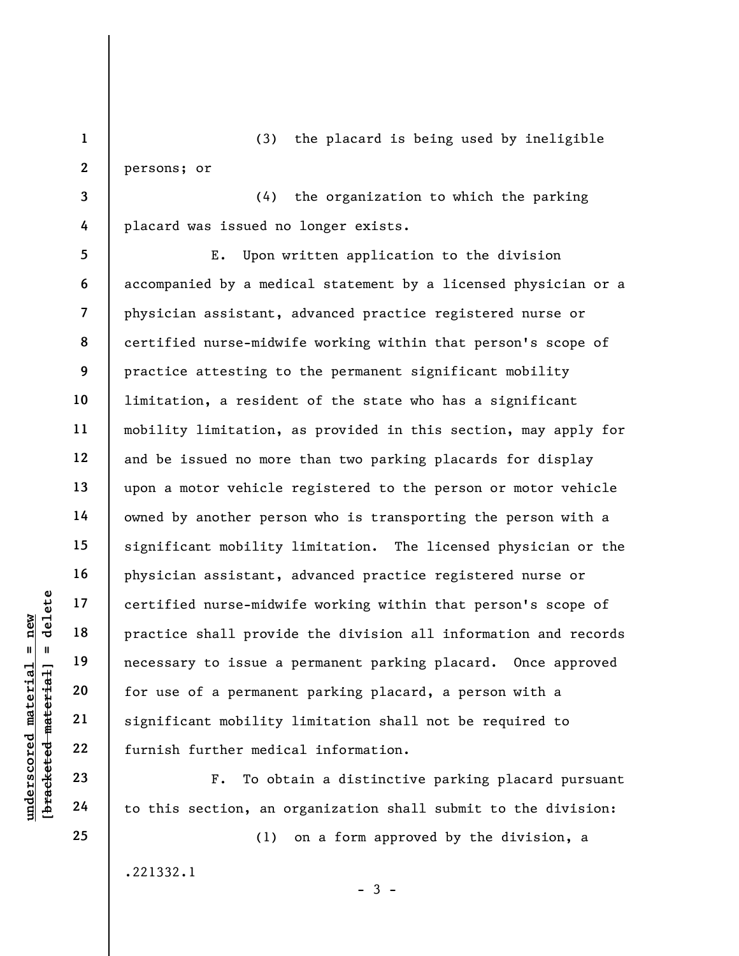1 2 (3) the placard is being used by ineligible persons; or

(4) the organization to which the parking placard was issued no longer exists.

underscored material = new [bracketed material] = delete 5 6 7 8 9 10 11 12 13 14 15 16 17 18 19 20 21 22 E. Upon written application to the division accompanied by a medical statement by a licensed physician or a physician assistant, advanced practice registered nurse or certified nurse-midwife working within that person's scope of practice attesting to the permanent significant mobility limitation, a resident of the state who has a significant mobility limitation, as provided in this section, may apply for and be issued no more than two parking placards for display upon a motor vehicle registered to the person or motor vehicle owned by another person who is transporting the person with a significant mobility limitation. The licensed physician or the physician assistant, advanced practice registered nurse or certified nurse-midwife working within that person's scope of practice shall provide the division all information and records necessary to issue a permanent parking placard. Once approved for use of a permanent parking placard, a person with a significant mobility limitation shall not be required to furnish further medical information.

F. To obtain a distinctive parking placard pursuant to this section, an organization shall submit to the division:

 $-3 -$ 

(1) on a form approved by the division, a

.221332.1

23

24

25

3

4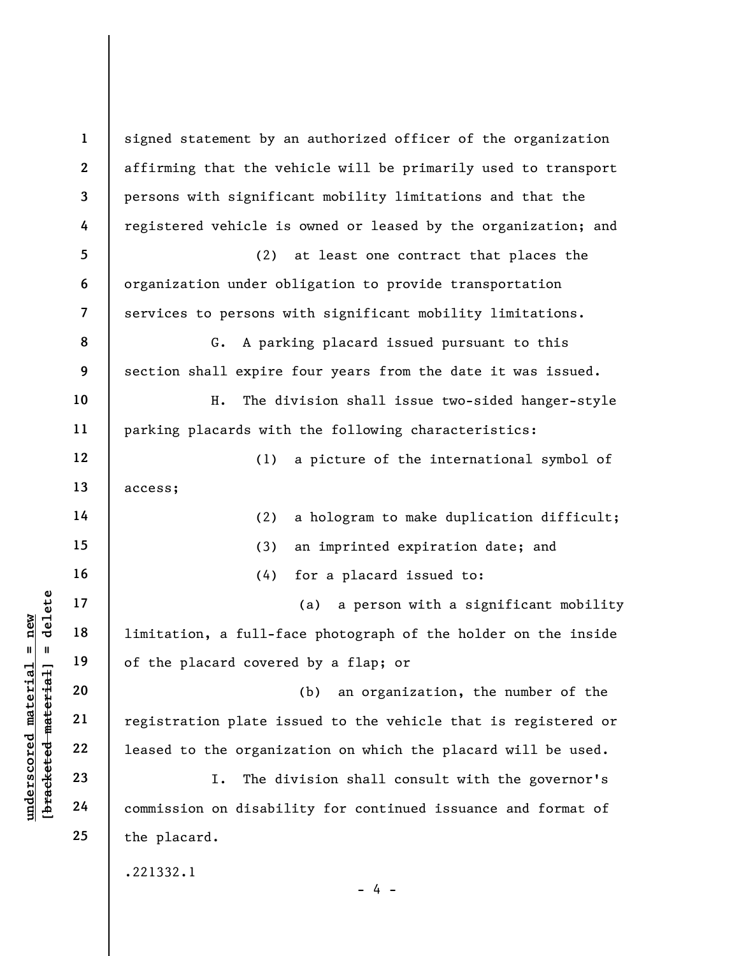underscored material = new [bracketed material] = delete 1 2 3 4 5 6 7 8 9 10 11 12 13 14 15 16 17 18 19 20 21 22 23 24 25 signed statement by an authorized officer of the organization affirming that the vehicle will be primarily used to transport persons with significant mobility limitations and that the registered vehicle is owned or leased by the organization; and (2) at least one contract that places the organization under obligation to provide transportation services to persons with significant mobility limitations. G. A parking placard issued pursuant to this section shall expire four years from the date it was issued. H. The division shall issue two-sided hanger-style parking placards with the following characteristics: (1) a picture of the international symbol of access; (2) a hologram to make duplication difficult; (3) an imprinted expiration date; and (4) for a placard issued to: (a) a person with a significant mobility limitation, a full-face photograph of the holder on the inside of the placard covered by a flap; or (b) an organization, the number of the registration plate issued to the vehicle that is registered or leased to the organization on which the placard will be used. I. The division shall consult with the governor's commission on disability for continued issuance and format of the placard. .221332.1  $- 4 -$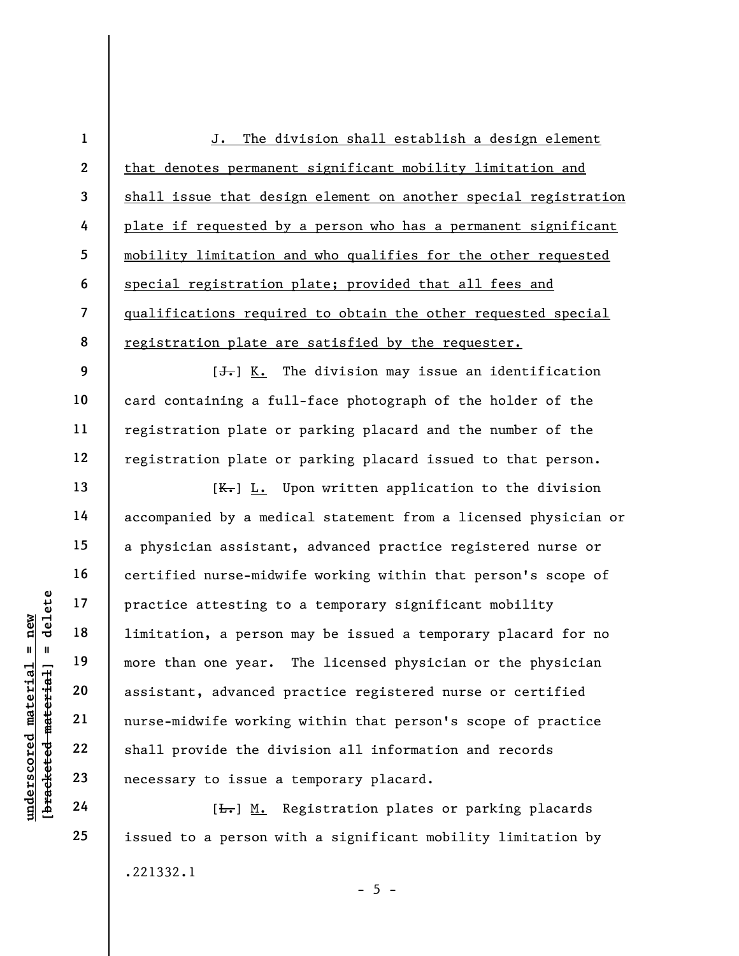1 2 3 4 5 6 7 8 J. The division shall establish a design element that denotes permanent significant mobility limitation and shall issue that design element on another special registration plate if requested by a person who has a permanent significant mobility limitation and who qualifies for the other requested special registration plate; provided that all fees and qualifications required to obtain the other requested special registration plate are satisfied by the requester.

 $[J<sub>1</sub>]$  K. The division may issue an identification card containing a full-face photograph of the holder of the registration plate or parking placard and the number of the registration plate or parking placard issued to that person.

understand material practice attesting to<br>  $\begin{array}{c|c|c} \n\text{u} & \text{u} & \text{u} & \text{u} & \text{u} \n\end{array}$  and the same of the material material material material material material material material material material material material  $[K_r]$  L. Upon written application to the division accompanied by a medical statement from a licensed physician or a physician assistant, advanced practice registered nurse or certified nurse-midwife working within that person's scope of practice attesting to a temporary significant mobility limitation, a person may be issued a temporary placard for no more than one year. The licensed physician or the physician assistant, advanced practice registered nurse or certified nurse-midwife working within that person's scope of practice shall provide the division all information and records necessary to issue a temporary placard.

[ $\overline{L}$ .] M. Registration plates or parking placards issued to a person with a significant mobility limitation by .221332.1  $- 5 -$ 

24 25

9

10

11

12

13

14

15

16

17

18

19

20

21

22

23